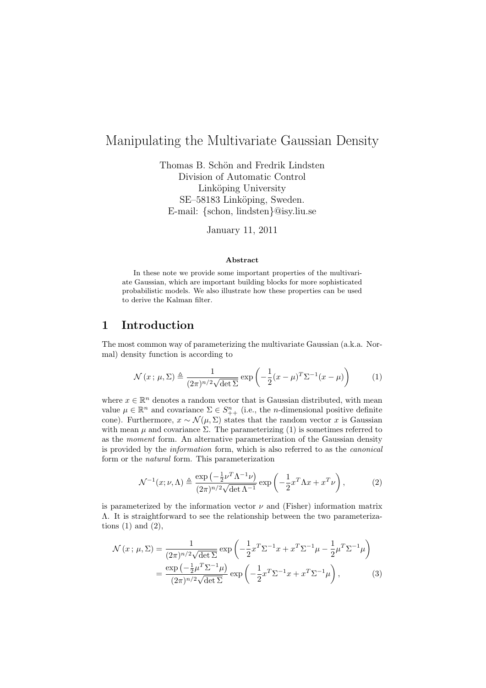# Manipulating the Multivariate Gaussian Density

Thomas B. Schön and Fredrik Lindsten Division of Automatic Control Linköping University SE–58183 Linköping, Sweden. E-mail: {schon, lindsten}@isy.liu.se

January 11, 2011

#### Abstract

In these note we provide some important properties of the multivariate Gaussian, which are important building blocks for more sophisticated probabilistic models. We also illustrate how these properties can be used to derive the Kalman filter.

#### 1 Introduction

The most common way of parameterizing the multivariate Gaussian (a.k.a. Normal) density function is according to

$$
\mathcal{N}(x;\,\mu,\Sigma) \triangleq \frac{1}{(2\pi)^{n/2}\sqrt{\det\Sigma}} \exp\left(-\frac{1}{2}(x-\mu)^T \Sigma^{-1}(x-\mu)\right) \tag{1}
$$

where  $x \in \mathbb{R}^n$  denotes a random vector that is Gaussian distributed, with mean value  $\mu \in \mathbb{R}^n$  and covariance  $\Sigma \in S^n_{++}$  (i.e., the *n*-dimensional positive definite cone). Furthermore,  $x \sim \mathcal{N}(\mu, \Sigma)$  states that the random vector x is Gaussian with mean  $\mu$  and covariance  $\Sigma$ . The parameterizing (1) is sometimes referred to as the moment form. An alternative parameterization of the Gaussian density is provided by the information form, which is also referred to as the canonical form or the natural form. This parameterization

$$
\mathcal{N}^{-1}(x;\nu,\Lambda) \triangleq \frac{\exp\left(-\frac{1}{2}\nu^T\Lambda^{-1}\nu\right)}{(2\pi)^{n/2}\sqrt{\det\Lambda^{-1}}}\exp\left(-\frac{1}{2}x^T\Lambda x + x^T\nu\right),\tag{2}
$$

is parameterized by the information vector  $\nu$  and (Fisher) information matrix Λ. It is straightforward to see the relationship between the two parameterizations  $(1)$  and  $(2)$ ,

$$
\mathcal{N}(x;\,\mu,\Sigma) = \frac{1}{(2\pi)^{n/2}\sqrt{\det \Sigma}} \exp\left(-\frac{1}{2}x^T \Sigma^{-1} x + x^T \Sigma^{-1} \mu - \frac{1}{2} \mu^T \Sigma^{-1} \mu\right)
$$

$$
= \frac{\exp\left(-\frac{1}{2}\mu^T \Sigma^{-1} \mu\right)}{(2\pi)^{n/2}\sqrt{\det \Sigma}} \exp\left(-\frac{1}{2}x^T \Sigma^{-1} x + x^T \Sigma^{-1} \mu\right),\tag{3}
$$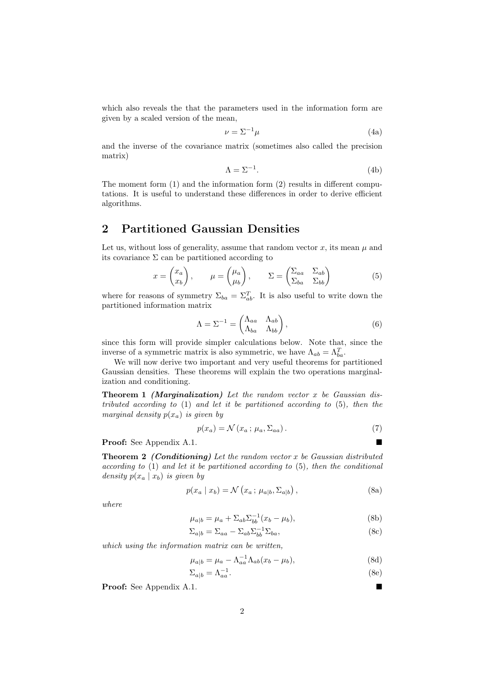which also reveals the that the parameters used in the information form are given by a scaled version of the mean,

$$
\nu = \Sigma^{-1} \mu \tag{4a}
$$

and the inverse of the covariance matrix (sometimes also called the precision matrix)

$$
\Lambda = \Sigma^{-1}.\tag{4b}
$$

The moment form (1) and the information form (2) results in different computations. It is useful to understand these differences in order to derive efficient algorithms.

### 2 Partitioned Gaussian Densities

Let us, without loss of generality, assume that random vector  $x$ , its mean  $\mu$  and its covariance  $\Sigma$  can be partitioned according to

$$
x = \begin{pmatrix} x_a \\ x_b \end{pmatrix}, \qquad \mu = \begin{pmatrix} \mu_a \\ \mu_b \end{pmatrix}, \qquad \Sigma = \begin{pmatrix} \Sigma_{aa} & \Sigma_{ab} \\ \Sigma_{ba} & \Sigma_{bb} \end{pmatrix}
$$
 (5)

where for reasons of symmetry  $\Sigma_{ba} = \Sigma_{ab}^T$ . It is also useful to write down the partitioned information matrix

$$
\Lambda = \Sigma^{-1} = \begin{pmatrix} \Lambda_{aa} & \Lambda_{ab} \\ \Lambda_{ba} & \Lambda_{bb} \end{pmatrix},\tag{6}
$$

since this form will provide simpler calculations below. Note that, since the inverse of a symmetric matrix is also symmetric, we have  $\Lambda_{ab} = \Lambda_{ba}^T$ .

We will now derive two important and very useful theorems for partitioned Gaussian densities. These theorems will explain the two operations marginalization and conditioning.

**Theorem 1** (Marginalization) Let the random vector  $x$  be Gaussian distributed according to (1) and let it be partitioned according to (5), then the marginal density  $p(x_a)$  is given by

$$
p(x_a) = \mathcal{N}(x_a; \mu_a, \Sigma_{aa}) \,. \tag{7}
$$

Proof: See Appendix A.1.

**Theorem 2** (Conditioning) Let the random vector x be Gaussian distributed according to (1) and let it be partitioned according to (5), then the conditional density  $p(x_a | x_b)$  is given by

$$
p(x_a \mid x_b) = \mathcal{N}(x_a \, ; \, \mu_{a|b}, \Sigma_{a|b}), \tag{8a}
$$

where

$$
\mu_{a|b} = \mu_a + \Sigma_{ab} \Sigma_{bb}^{-1} (x_b - \mu_b), \tag{8b}
$$

$$
\Sigma_{a|b} = \Sigma_{aa} - \Sigma_{ab} \Sigma_{bb}^{-1} \Sigma_{ba},\tag{8c}
$$

which using the information matrix can be written,

$$
\mu_{a|b} = \mu_a - \Lambda_{aa}^{-1} \Lambda_{ab} (x_b - \mu_b), \tag{8d}
$$

$$
\Sigma_{a|b} = \Lambda_{aa}^{-1}.\tag{8e}
$$

Proof: See Appendix A.1.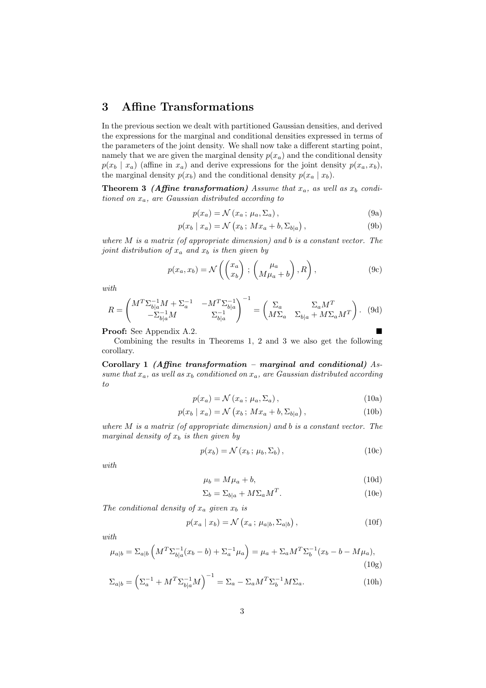#### 3 Affine Transformations

In the previous section we dealt with partitioned Gaussian densities, and derived the expressions for the marginal and conditional densities expressed in terms of the parameters of the joint density. We shall now take a different starting point, namely that we are given the marginal density  $p(x_a)$  and the conditional density  $p(x_b | x_a)$  (affine in  $x_a$ ) and derive expressions for the joint density  $p(x_a, x_b)$ , the marginal density  $p(x_b)$  and the conditional density  $p(x_a | x_b)$ .

**Theorem 3** (Affine transformation) Assume that  $x_a$ , as well as  $x_b$  conditioned on  $x_a$ , are Gaussian distributed according to

$$
p(x_a) = \mathcal{N}(x_a; \mu_a, \Sigma_a), \qquad (9a)
$$

$$
p(x_b | x_a) = \mathcal{N}(x_b; Mx_a + b, \Sigma_{b|a}), \qquad (9b)
$$

where  $M$  is a matrix (of appropriate dimension) and b is a constant vector. The joint distribution of  $x_a$  and  $x_b$  is then given by

$$
p(x_a, x_b) = \mathcal{N}\left(\begin{pmatrix} x_a \\ x_b \end{pmatrix} ; \begin{pmatrix} \mu_a \\ M\mu_a + b \end{pmatrix}, R\right), \qquad (9c)
$$

with

$$
R = \begin{pmatrix} M^T \Sigma_{b|a}^{-1} M + \Sigma_a^{-1} & -M^T \Sigma_{b|a}^{-1} \\ -\Sigma_{b|a}^{-1} M & \Sigma_{b|a}^{-1} \end{pmatrix}^{-1} = \begin{pmatrix} \Sigma_a & \Sigma_a M^T \\ M \Sigma_a & \Sigma_{b|a} + M \Sigma_a M^T \end{pmatrix}.
$$
 (9d)

Proof: See Appendix A.2.

Combining the results in Theorems 1, 2 and 3 we also get the following corollary.

Corollary 1 (Affine transformation – marginal and conditional)  $As$ sume that  $x_a$ , as well as  $x_b$  conditioned on  $x_a$ , are Gaussian distributed according to

$$
p(x_a) = \mathcal{N}(x_a; \mu_a, \Sigma_a), \qquad (10a)
$$

$$
p(x_b | x_a) = \mathcal{N}(x_b; Mx_a + b, \Sigma_{b|a}), \qquad (10b)
$$

where  $M$  is a matrix (of appropriate dimension) and  $b$  is a constant vector. The marginal density of  $x_b$  is then given by

$$
p(x_b) = \mathcal{N}(x_b; \mu_b, \Sigma_b), \qquad (10c)
$$

with

$$
\mu_b = M\mu_a + b,\tag{10d}
$$

$$
\Sigma_b = \Sigma_{b|a} + M\Sigma_a M^T. \tag{10e}
$$

The conditional density of  $x_a$  given  $x_b$  is

$$
p(x_a \mid x_b) = \mathcal{N}\left(x_a \, ; \, \mu_{a|b}, \Sigma_{a|b}\right),\tag{10f}
$$

with

$$
\mu_{a|b} = \Sigma_{a|b} \left( M^T \Sigma_{b|a}^{-1} (x_b - b) + \Sigma_a^{-1} \mu_a \right) = \mu_a + \Sigma_a M^T \Sigma_b^{-1} (x_b - b - M \mu_a), \tag{10g}
$$

$$
\Sigma_{a|b} = \left(\Sigma_a^{-1} + M^T \Sigma_{b|a}^{-1} M\right)^{-1} = \Sigma_a - \Sigma_a M^T \Sigma_b^{-1} M \Sigma_a.
$$
 (10h)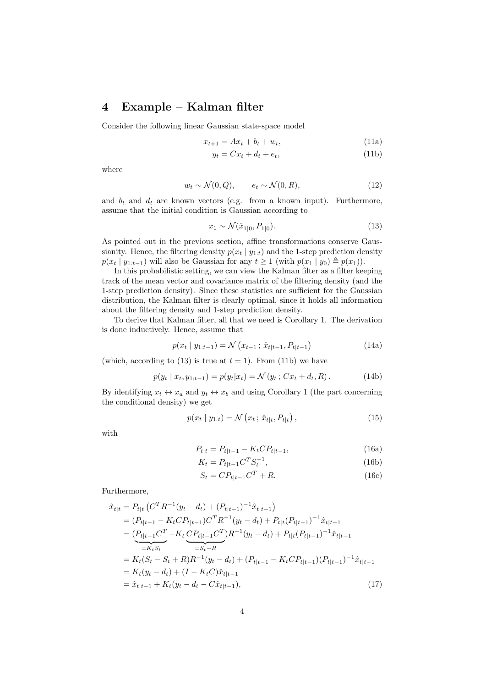#### 4 Example – Kalman filter

Consider the following linear Gaussian state-space model

$$
x_{t+1} = Ax_t + b_t + w_t,
$$
\n(11a)

$$
y_t = Cx_t + d_t + e_t,\tag{11b}
$$

where

$$
w_t \sim \mathcal{N}(0, Q), \qquad e_t \sim \mathcal{N}(0, R), \tag{12}
$$

and  $b_t$  and  $d_t$  are known vectors (e.g. from a known input). Furthermore, assume that the initial condition is Gaussian according to

$$
x_1 \sim \mathcal{N}(\hat{x}_{1|0}, P_{1|0}). \tag{13}
$$

As pointed out in the previous section, affine transformations conserve Gaussianity. Hence, the filtering density  $p(x_t | y_{1:t})$  and the 1-step prediction density  $p(x_t | y_{1:t-1})$  will also be Gaussian for any  $t \ge 1$  (with  $p(x_1 | y_0) \triangleq p(x_1)$ ).

In this probabilistic setting, we can view the Kalman filter as a filter keeping track of the mean vector and covariance matrix of the filtering density (and the 1-step prediction density). Since these statistics are sufficient for the Gaussian distribution, the Kalman filter is clearly optimal, since it holds all information about the filtering density and 1-step prediction density.

To derive that Kalman filter, all that we need is Corollary 1. The derivation is done inductively. Hence, assume that

$$
p(x_t | y_{1:t-1}) = \mathcal{N}(x_{t-1}; \hat{x}_{t|t-1}, P_{t|t-1})
$$
\n(14a)

(which, according to (13) is true at  $t = 1$ ). From (11b) we have

$$
p(y_t | x_t, y_{1:t-1}) = p(y_t | x_t) = \mathcal{N}(y_t; Cx_t + d_t, R).
$$
 (14b)

By identifying  $x_t \leftrightarrow x_a$  and  $y_t \leftrightarrow x_b$  and using Corollary 1 (the part concerning the conditional density) we get

$$
p(x_t | y_{1:t}) = \mathcal{N}(x_t; \hat{x}_{t|t}, P_{t|t}), \qquad (15)
$$

with

$$
P_{t|t} = P_{t|t-1} - K_t C P_{t|t-1},
$$
\n(16a)

$$
K_t = P_{t|t-1} C^T S_t^{-1},\tag{16b}
$$

$$
S_t = C P_{t|t-1} C^T + R. \tag{16c}
$$

Furthermore,

$$
\hat{x}_{t|t} = P_{t|t} \left( C^{T} R^{-1} (y_{t} - d_{t}) + (P_{t|t-1})^{-1} \hat{x}_{t|t-1} \right)
$$
\n
$$
= (P_{t|t-1} - K_{t} C P_{t|t-1}) C^{T} R^{-1} (y_{t} - d_{t}) + P_{t|t} (P_{t|t-1})^{-1} \hat{x}_{t|t-1}
$$
\n
$$
= \underbrace{(P_{t|t-1} C^{T} - K_{t} C P_{t|t-1} C^{T}) R^{-1} (y_{t} - d_{t}) + P_{t|t} (P_{t|t-1})^{-1} \hat{x}_{t|t-1}}_{=K_{t} S_{t}}
$$
\n
$$
= K_{t} (S_{t} - S_{t} + R) R^{-1} (y_{t} - d_{t}) + (P_{t|t-1} - K_{t} C P_{t|t-1}) (P_{t|t-1})^{-1} \hat{x}_{t|t-1}
$$
\n
$$
= K_{t} (y_{t} - d_{t}) + (I - K_{t} C) \hat{x}_{t|t-1}
$$
\n
$$
= \hat{x}_{t|t-1} + K_{t} (y_{t} - d_{t} - C \hat{x}_{t|t-1}), \qquad (17)
$$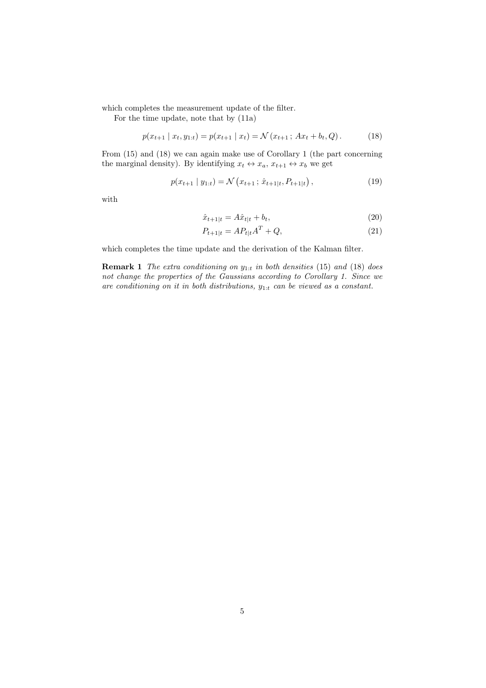which completes the measurement update of the filter.

For the time update, note that by (11a)

$$
p(x_{t+1} | x_t, y_{1:t}) = p(x_{t+1} | x_t) = \mathcal{N}(x_{t+1} ; Ax_t + b_t, Q). \tag{18}
$$

From (15) and (18) we can again make use of Corollary 1 (the part concerning the marginal density). By identifying  $x_t \leftrightarrow x_a$ ,  $x_{t+1} \leftrightarrow x_b$  we get

$$
p(x_{t+1} | y_{1:t}) = \mathcal{N}(x_{t+1}; \hat{x}_{t+1|t}, P_{t+1|t}), \qquad (19)
$$

with

$$
\hat{x}_{t+1|t} = A\hat{x}_{t|t} + b_t,\tag{20}
$$

$$
P_{t+1|t} = AP_{t|t}A^T + Q,
$$
\n(21)

which completes the time update and the derivation of the Kalman filter.

**Remark 1** The extra conditioning on  $y_{1:t}$  in both densities (15) and (18) does not change the properties of the Gaussians according to Corollary 1. Since we are conditioning on it in both distributions,  $y_{1:t}$  can be viewed as a constant.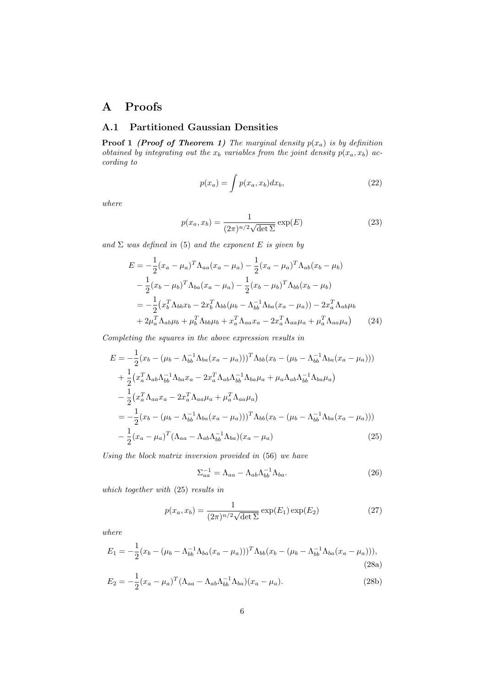## A Proofs

#### A.1 Partitioned Gaussian Densities

**Proof 1** (Proof of Theorem 1) The marginal density  $p(x_a)$  is by definition obtained by integrating out the  $x_b$  variables from the joint density  $p(x_a, x_b)$  according to

$$
p(x_a) = \int p(x_a, x_b) dx_b,
$$
\n(22)

where

$$
p(x_a, x_b) = \frac{1}{(2\pi)^{n/2}\sqrt{\det \Sigma}} \exp(E)
$$
 (23)

and  $\Sigma$  was defined in (5) and the exponent E is given by

$$
E = -\frac{1}{2}(x_a - \mu_a)^T \Lambda_{aa}(x_a - \mu_a) - \frac{1}{2}(x_a - \mu_a)^T \Lambda_{ab}(x_b - \mu_b)
$$
  

$$
-\frac{1}{2}(x_b - \mu_b)^T \Lambda_{ba}(x_a - \mu_a) - \frac{1}{2}(x_b - \mu_b)^T \Lambda_{bb}(x_b - \mu_b)
$$
  

$$
= -\frac{1}{2}(x_b^T \Lambda_{bb} x_b - 2x_b^T \Lambda_{bb}(\mu_b - \Lambda_{bb}^{-1} \Lambda_{ba}(x_a - \mu_a)) - 2x_a^T \Lambda_{ab} \mu_b
$$
  

$$
+ 2\mu_a^T \Lambda_{ab} \mu_b + \mu_b^T \Lambda_{bb} \mu_b + x_a^T \Lambda_{aa} x_a - 2x_a^T \Lambda_{aa} \mu_a + \mu_a^T \Lambda_{aa} \mu_a)
$$
(24)

Completing the squares in the above expression results in

$$
E = -\frac{1}{2}(x_b - (\mu_b - \Lambda_{bb}^{-1}\Lambda_{ba}(x_a - \mu_a)))^T \Lambda_{bb}(x_b - (\mu_b - \Lambda_{bb}^{-1}\Lambda_{ba}(x_a - \mu_a)))
$$
  
+ 
$$
\frac{1}{2}(x_a^T \Lambda_{ab}\Lambda_{bb}^{-1}\Lambda_{ba}x_a - 2x_a^T \Lambda_{ab}\Lambda_{bb}^{-1}\Lambda_{ba}\mu_a + \mu_a \Lambda_{ab}\Lambda_{bb}^{-1}\Lambda_{ba}\mu_a)
$$
  
- 
$$
\frac{1}{2}(x_a^T \Lambda_{aa}x_a - 2x_a^T \Lambda_{aa}\mu_a + \mu_a^T \Lambda_{aa}\mu_a)
$$
  
= 
$$
-\frac{1}{2}(x_b - (\mu_b - \Lambda_{bb}^{-1}\Lambda_{ba}(x_a - \mu_a)))^T \Lambda_{bb}(x_b - (\mu_b - \Lambda_{bb}^{-1}\Lambda_{ba}(x_a - \mu_a)))
$$
  
- 
$$
\frac{1}{2}(x_a - \mu_a)^T (\Lambda_{aa} - \Lambda_{ab}\Lambda_{bb}^{-1}\Lambda_{ba})(x_a - \mu_a)
$$
(25)

Using the block matrix inversion provided in (56) we have

$$
\Sigma_{aa}^{-1} = \Lambda_{aa} - \Lambda_{ab} \Lambda_{bb}^{-1} \Lambda_{ba}.
$$
\n(26)

which together with (25) results in

$$
p(x_a, x_b) = \frac{1}{(2\pi)^{n/2}\sqrt{\det \Sigma}} \exp(E_1) \exp(E_2)
$$
 (27)

where

$$
E_1 = -\frac{1}{2}(x_b - (\mu_b - \Lambda_{bb}^{-1} \Lambda_{ba}(x_a - \mu_a)))^T \Lambda_{bb}(x_b - (\mu_b - \Lambda_{bb}^{-1} \Lambda_{ba}(x_a - \mu_a))),
$$
\n(28a)

$$
E_2 = -\frac{1}{2}(x_a - \mu_a)^T (\Lambda_{aa} - \Lambda_{ab}\Lambda_{bb}^{-1}\Lambda_{ba})(x_a - \mu_a).
$$
 (28b)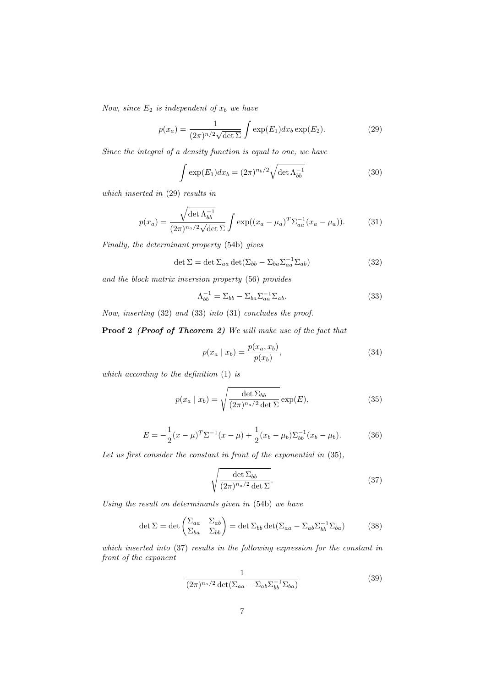Now, since  $E_2$  is independent of  $x_b$  we have

$$
p(x_a) = \frac{1}{(2\pi)^{n/2}\sqrt{\det \Sigma}} \int \exp(E_1) dx_b \exp(E_2).
$$
 (29)

Since the integral of a density function is equal to one, we have

$$
\int \exp(E_1) dx_b = (2\pi)^{n_b/2} \sqrt{\det \Lambda_{bb}^{-1}} \tag{30}
$$

which inserted in (29) results in

$$
p(x_a) = \frac{\sqrt{\det \Lambda_{bb}^{-1}}}{(2\pi)^{n_a/2}\sqrt{\det \Sigma}} \int \exp((x_a - \mu_a)^T \Sigma_{aa}^{-1} (x_a - \mu_a)).
$$
 (31)

Finally, the determinant property (54b) gives

$$
\det \Sigma = \det \Sigma_{aa} \det (\Sigma_{bb} - \Sigma_{ba} \Sigma_{aa}^{-1} \Sigma_{ab})
$$
\n(32)

and the block matrix inversion property (56) provides

$$
\Lambda_{bb}^{-1} = \Sigma_{bb} - \Sigma_{ba} \Sigma_{aa}^{-1} \Sigma_{ab}.
$$
\n(33)

Now, inserting (32) and (33) into (31) concludes the proof.

Proof 2 (Proof of Theorem 2) We will make use of the fact that

$$
p(x_a \mid x_b) = \frac{p(x_a, x_b)}{p(x_b)},
$$
\n(34)

which according to the definition (1) is

$$
p(x_a \mid x_b) = \sqrt{\frac{\det \Sigma_{bb}}{(2\pi)^{n_a/2} \det \Sigma}} \exp(E), \tag{35}
$$

$$
E = -\frac{1}{2}(x - \mu)^{T} \Sigma^{-1} (x - \mu) + \frac{1}{2}(x_b - \mu_b) \Sigma_{bb}^{-1} (x_b - \mu_b).
$$
 (36)

Let us first consider the constant in front of the exponential in  $(35)$ ,

$$
\sqrt{\frac{\det \Sigma_{bb}}{(2\pi)^{n_a/2}\det \Sigma}}.
$$
\n(37)

Using the result on determinants given in (54b) we have

$$
\det \Sigma = \det \begin{pmatrix} \Sigma_{aa} & \Sigma_{ab} \\ \Sigma_{ba} & \Sigma_{bb} \end{pmatrix} = \det \Sigma_{bb} \det (\Sigma_{aa} - \Sigma_{ab} \Sigma_{bb}^{-1} \Sigma_{ba}) \tag{38}
$$

which inserted into (37) results in the following expression for the constant in front of the exponent

$$
\frac{1}{(2\pi)^{n_a/2}\det(\Sigma_{aa}-\Sigma_{ab}\Sigma_{bb}^{-1}\Sigma_{ba})}
$$
(39)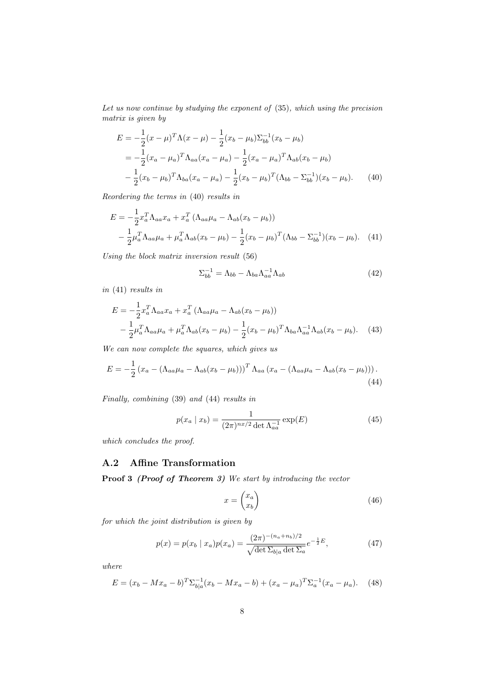Let us now continue by studying the exponent of (35), which using the precision matrix is given by

$$
E = -\frac{1}{2}(x - \mu)^T \Lambda (x - \mu) - \frac{1}{2}(x_b - \mu_b) \Sigma_{bb}^{-1} (x_b - \mu_b)
$$
  
=  $-\frac{1}{2}(x_a - \mu_a)^T \Lambda_{aa} (x_a - \mu_a) - \frac{1}{2}(x_a - \mu_a)^T \Lambda_{ab} (x_b - \mu_b)$   
 $-\frac{1}{2}(x_b - \mu_b)^T \Lambda_{ba} (x_a - \mu_a) - \frac{1}{2}(x_b - \mu_b)^T (\Lambda_{bb} - \Sigma_{bb}^{-1})(x_b - \mu_b).$  (40)

Reordering the terms in (40) results in

$$
E = -\frac{1}{2}x_a^T \Lambda_{aa} x_a + x_a^T (\Lambda_{aa} \mu_a - \Lambda_{ab}(x_b - \mu_b))
$$
  

$$
-\frac{1}{2} \mu_a^T \Lambda_{aa} \mu_a + \mu_a^T \Lambda_{ab}(x_b - \mu_b) - \frac{1}{2} (x_b - \mu_b)^T (\Lambda_{bb} - \Sigma_{bb}^{-1})(x_b - \mu_b). \quad (41)
$$

Using the block matrix inversion result (56)

$$
\Sigma_{bb}^{-1} = \Lambda_{bb} - \Lambda_{ba} \Lambda_{aa}^{-1} \Lambda_{ab} \tag{42}
$$

in (41) results in

1

$$
E = -\frac{1}{2}x_a^T \Lambda_{aa} x_a + x_a^T (\Lambda_{aa} \mu_a - \Lambda_{ab}(x_b - \mu_b))
$$
  

$$
-\frac{1}{2} \mu_a^T \Lambda_{aa} \mu_a + \mu_a^T \Lambda_{ab}(x_b - \mu_b) - \frac{1}{2} (x_b - \mu_b)^T \Lambda_{ba} \Lambda_{aa}^{-1} \Lambda_{ab}(x_b - \mu_b).
$$
 (43)

We can now complete the squares, which gives us

$$
E = -\frac{1}{2} \left( x_a - \left( \Lambda_{aa} \mu_a - \Lambda_{ab} (x_b - \mu_b) \right) \right)^T \Lambda_{aa} \left( x_a - \left( \Lambda_{aa} \mu_a - \Lambda_{ab} (x_b - \mu_b) \right) \right).
$$
\n(44)

Finally, combining (39) and (44) results in

$$
p(x_a \mid x_b) = \frac{1}{(2\pi)^{nx/2} \det \Lambda_{aa}^{-1}} \exp(E)
$$
 (45)

which concludes the proof.

#### A.2 Affine Transformation

Proof 3 (Proof of Theorem 3) We start by introducing the vector

$$
x = \begin{pmatrix} x_a \\ x_b \end{pmatrix} \tag{46}
$$

for which the joint distribution is given by

$$
p(x) = p(x_b | x_a) p(x_a) = \frac{(2\pi)^{-(n_a + n_b)/2}}{\sqrt{\det \Sigma_{b|a} \det \Sigma_a}} e^{-\frac{1}{2}E}, \tag{47}
$$

where

$$
E = (x_b - Mx_a - b)^T \Sigma_{b|a}^{-1} (x_b - Mx_a - b) + (x_a - \mu_a)^T \Sigma_a^{-1} (x_a - \mu_a).
$$
 (48)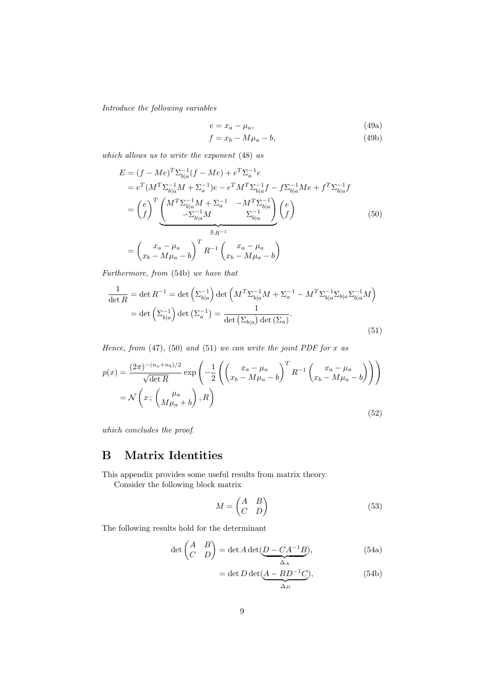Introduce the following variables

$$
e = x_a - \mu_a,\tag{49a}
$$

$$
f = x_b - M\mu_a - b,\t\t(49b)
$$

which allows us to write the exponent (48) as

$$
E = (f - Me)^{T} \Sigma_{b|a}^{-1} (f - Me) + e^{T} \Sigma_{a}^{-1} e
$$
  
\n
$$
= e^{T} (M^{T} \Sigma_{b|a}^{-1} M + \Sigma_{a}^{-1}) e - e^{T} M^{T} \Sigma_{b|a}^{-1} f - f \Sigma_{b|a}^{-1} Me + f^{T} \Sigma_{b|a}^{-1} f
$$
  
\n
$$
= \left(\frac{e}{f}\right)^{T} \underbrace{\left(\frac{M^{T} \Sigma_{b|a}^{-1} M + \Sigma_{a}^{-1} - M^{T} \Sigma_{b|a}^{-1}}{\Sigma_{b|a}^{-1} M}\right)}_{\equiv R^{-1}} \left(\frac{e}{f}\right)
$$
  
\n
$$
= \left(\frac{x_{a} - \mu_{a}}{x_{b} - M\mu_{a} - b}\right)^{T} R^{-1} \left(\frac{x_{a} - \mu_{a}}{x_{b} - M\mu_{a} - b}\right)
$$
  
\n(50)

Furthermore, from (54b) we have that

$$
\frac{1}{\det R} = \det R^{-1} = \det \left( \Sigma_{b|a}^{-1} \right) \det \left( M^T \Sigma_{b|a}^{-1} M + \Sigma_a^{-1} - M^T \Sigma_{b|a}^{-1} \Sigma_{b|a} \Sigma_{b|a}^{-1} M \right)
$$

$$
= \det \left( \Sigma_{b|a}^{-1} \right) \det \left( \Sigma_a^{-1} \right) = \frac{1}{\det \left( \Sigma_{b|a} \right) \det \left( \Sigma_a \right)}.
$$
(51)

Hence, from  $(47)$ ,  $(50)$  and  $(51)$  we can write the joint PDF for x as

$$
p(x) = \frac{(2\pi)^{-(n_a+n_b)/2}}{\sqrt{\det R}} \exp\left(-\frac{1}{2}\left(\left(x_a - \mu_a\right)^T R^{-1}\left(x_b - M\mu_a - b\right)\right)\right)
$$

$$
= \mathcal{N}\left(x; \left(\mu_a\right) \mu_a + b\right), R\right)
$$
(52)

which concludes the proof.

#### B Matrix Identities

This appendix provides some useful results from matrix theory. Consider the following block matrix

$$
M = \begin{pmatrix} A & B \\ C & D \end{pmatrix} \tag{53}
$$

The following results hold for the determinant

$$
\det\begin{pmatrix} A & B \\ C & D \end{pmatrix} = \det A \det(\underbrace{D - CA^{-1}B}_{\Delta_A}),\tag{54a}
$$

$$
= \det D \det(\underbrace{A - BD^{-1}C}_{\Delta_D}), \tag{54b}
$$